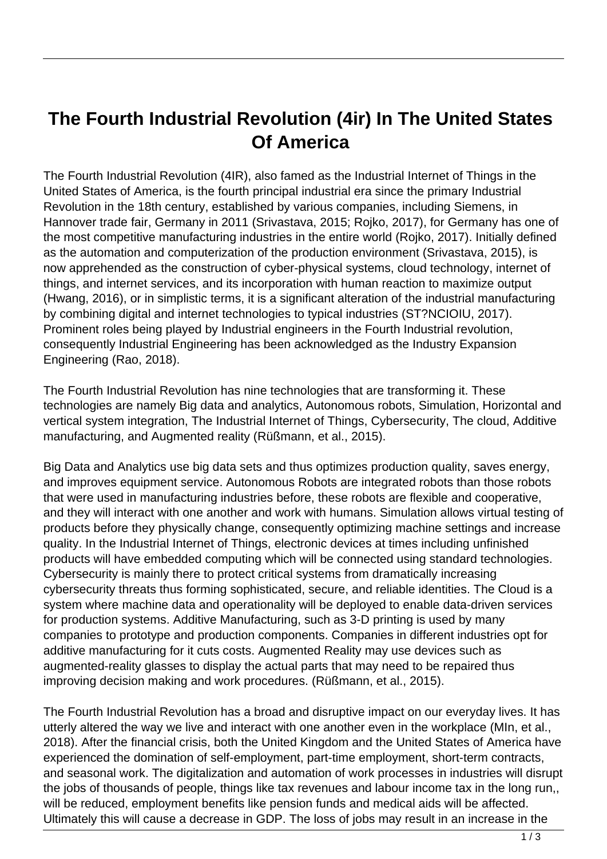## **The Fourth Industrial Revolution (4ir) In The United States Of America**

The Fourth Industrial Revolution (4IR), also famed as the Industrial Internet of Things in the United States of America, is the fourth principal industrial era since the primary Industrial Revolution in the 18th century, established by various companies, including Siemens, in Hannover trade fair, Germany in 2011 (Srivastava, 2015; Rojko, 2017), for Germany has one of the most competitive manufacturing industries in the entire world (Rojko, 2017). Initially defined as the automation and computerization of the production environment (Srivastava, 2015), is now apprehended as the construction of cyber-physical systems, cloud technology, internet of things, and internet services, and its incorporation with human reaction to maximize output (Hwang, 2016), or in simplistic terms, it is a significant alteration of the industrial manufacturing by combining digital and internet technologies to typical industries (ST?NCIOIU, 2017). Prominent roles being played by Industrial engineers in the Fourth Industrial revolution, consequently Industrial Engineering has been acknowledged as the Industry Expansion Engineering (Rao, 2018).

The Fourth Industrial Revolution has nine technologies that are transforming it. These technologies are namely Big data and analytics, Autonomous robots, Simulation, Horizontal and vertical system integration, The Industrial Internet of Things, Cybersecurity, The cloud, Additive manufacturing, and Augmented reality (Rüßmann, et al., 2015).

Big Data and Analytics use big data sets and thus optimizes production quality, saves energy, and improves equipment service. Autonomous Robots are integrated robots than those robots that were used in manufacturing industries before, these robots are flexible and cooperative, and they will interact with one another and work with humans. Simulation allows virtual testing of products before they physically change, consequently optimizing machine settings and increase quality. In the Industrial Internet of Things, electronic devices at times including unfinished products will have embedded computing which will be connected using standard technologies. Cybersecurity is mainly there to protect critical systems from dramatically increasing cybersecurity threats thus forming sophisticated, secure, and reliable identities. The Cloud is a system where machine data and operationality will be deployed to enable data-driven services for production systems. Additive Manufacturing, such as 3-D printing is used by many companies to prototype and production components. Companies in different industries opt for additive manufacturing for it cuts costs. Augmented Reality may use devices such as augmented-reality glasses to display the actual parts that may need to be repaired thus improving decision making and work procedures. (Rüßmann, et al., 2015).

The Fourth Industrial Revolution has a broad and disruptive impact on our everyday lives. It has utterly altered the way we live and interact with one another even in the workplace (MIn, et al., 2018). After the financial crisis, both the United Kingdom and the United States of America have experienced the domination of self-employment, part-time employment, short-term contracts, and seasonal work. The digitalization and automation of work processes in industries will disrupt the jobs of thousands of people, things like tax revenues and labour income tax in the long run,, will be reduced, employment benefits like pension funds and medical aids will be affected. Ultimately this will cause a decrease in GDP. The loss of jobs may result in an increase in the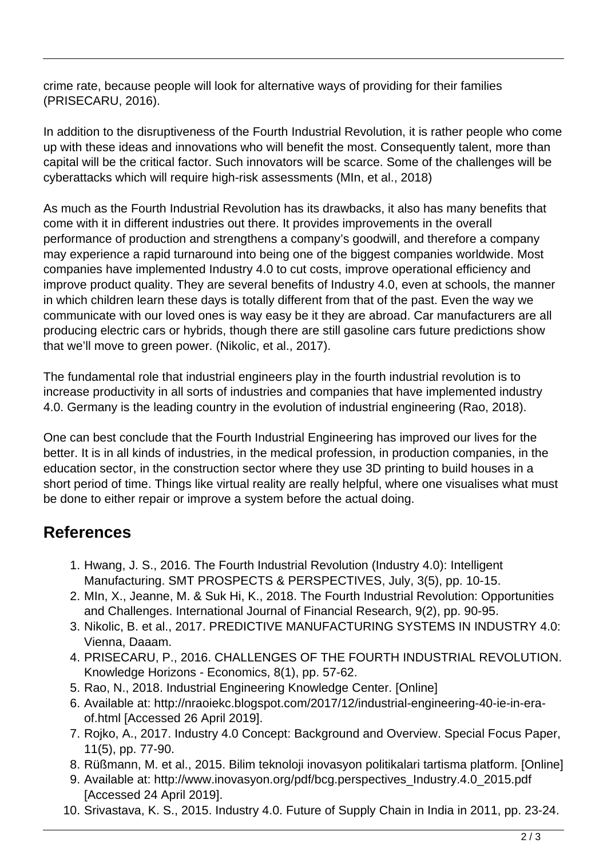crime rate, because people will look for alternative ways of providing for their families (PRISECARU, 2016).

In addition to the disruptiveness of the Fourth Industrial Revolution, it is rather people who come up with these ideas and innovations who will benefit the most. Consequently talent, more than capital will be the critical factor. Such innovators will be scarce. Some of the challenges will be cyberattacks which will require high-risk assessments (MIn, et al., 2018)

As much as the Fourth Industrial Revolution has its drawbacks, it also has many benefits that come with it in different industries out there. It provides improvements in the overall performance of production and strengthens a company's goodwill, and therefore a company may experience a rapid turnaround into being one of the biggest companies worldwide. Most companies have implemented Industry 4.0 to cut costs, improve operational efficiency and improve product quality. They are several benefits of Industry 4.0, even at schools, the manner in which children learn these days is totally different from that of the past. Even the way we communicate with our loved ones is way easy be it they are abroad. Car manufacturers are all producing electric cars or hybrids, though there are still gasoline cars future predictions show that we'll move to green power. (Nikolic, et al., 2017).

The fundamental role that industrial engineers play in the fourth industrial revolution is to increase productivity in all sorts of industries and companies that have implemented industry 4.0. Germany is the leading country in the evolution of industrial engineering (Rao, 2018).

One can best conclude that the Fourth Industrial Engineering has improved our lives for the better. It is in all kinds of industries, in the medical profession, in production companies, in the education sector, in the construction sector where they use 3D printing to build houses in a short period of time. Things like virtual reality are really helpful, where one visualises what must be done to either repair or improve a system before the actual doing.

## **References**

- 1. Hwang, J. S., 2016. The Fourth Industrial Revolution (Industry 4.0): Intelligent Manufacturing. SMT PROSPECTS & PERSPECTIVES, July, 3(5), pp. 10-15.
- 2. MIn, X., Jeanne, M. & Suk Hi, K., 2018. The Fourth Industrial Revolution: Opportunities and Challenges. International Journal of Financial Research, 9(2), pp. 90-95.
- 3. Nikolic, B. et al., 2017. PREDICTIVE MANUFACTURING SYSTEMS IN INDUSTRY 4.0: Vienna, Daaam.
- 4. PRISECARU, P., 2016. CHALLENGES OF THE FOURTH INDUSTRIAL REVOLUTION. Knowledge Horizons - Economics, 8(1), pp. 57-62.
- 5. Rao, N., 2018. Industrial Engineering Knowledge Center. [Online]
- 6. Available at: http://nraoiekc.blogspot.com/2017/12/industrial-engineering-40-ie-in-eraof.html [Accessed 26 April 2019].
- 7. Rojko, A., 2017. Industry 4.0 Concept: Background and Overview. Special Focus Paper, 11(5), pp. 77-90.
- 8. Rüßmann, M. et al., 2015. Bilim teknoloji inovasyon politikalari tartisma platform. [Online]
- 9. Available at: http://www.inovasyon.org/pdf/bcg.perspectives\_Industry.4.0\_2015.pdf [Accessed 24 April 2019].
- 10. Srivastava, K. S., 2015. Industry 4.0. Future of Supply Chain in India in 2011, pp. 23-24.